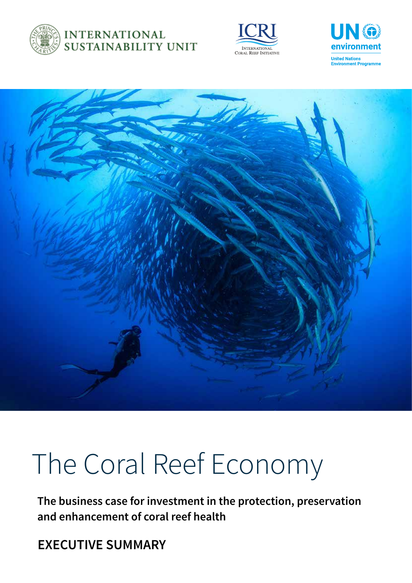

### **INTERNATIONAL SUSTAINABILITY UNIT**







# The Coral Reef Economy

**The business case for investment in the protection, preservation and enhancement of coral reef health**

**EXECUTIVE SUMMARY**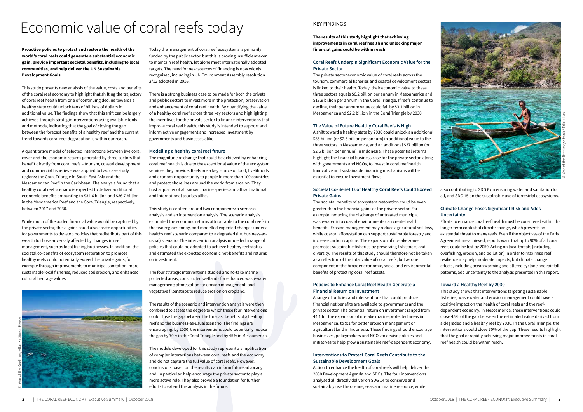

#### KEY FINDINGS

**The results of this study highlight that achieving improvements in coral reef health and unlocking major financial gains could be within reach.**

#### **Coral Reefs Underpin Significant Economic Value for the Private Sector**

The private sector economic value of coral reefs across the tourism, commercial fisheries and coastal development sectors is linked to their health. Today, their economic value to these three sectors equals \$6.2 billion per annum in Mesoamerica and \$13.9 billion per annum in the Coral Triangle. If reefs continue to decline, their per annum value could fall by \$3.1 billion in Mesoamerica and \$2.2 billion in the Coral Triangle by 2030.

#### **The Value of Future Healthy Coral Reefs is High**

A shift toward a healthy state by 2030 could unlock an additional \$35 billion (or \$2.5 billion per annum) in additional value to the three sectors in Mesoamerica, and an additional \$37 billion (or \$2.6 billion per annum) in Indonesia. These potential returns highlight the financial business case for the private sector, along with governments and NGOs, to invest in coral reef health. Innovative and sustainable financing mechanisms will be essential to ensure investment flows.

#### **Societal Co-Benefits of Healthy Coral Reefs Could Exceed Private Gains**

The societal benefits of ecosystem restoration could be even greater than the financial gains of the private sector. For example, reducing the discharge of untreated municipal wastewater into coastal environments can create health benefits. Erosion management may reduce agricultural soil loss, while coastal afforestation can support sustainable forestry and increase carbon capture. The expansion of no-take zones promotes sustainable fisheries by preserving fish stocks and diversity. The results of this study should therefore not be taken as a reflection of the total value of coral reefs, but as one component of the broader economic, social and environmental benefits of protecting coral reef assets.

#### **Policies to Enhance Coral Reef Health Generate a Financial Return on Investment**

A range of policies and interventions that could produce financial net benefits are available to governments and the private sector. The potential return on investment ranged from 44:1 for the expansion of no-take marine protected areas in Mesoamerica, to 9:1 for better erosion management on agricultural land in Indonesia. These findings should encourage businesses, policymakers and NGOs to devise policies and initiatives to help grow a sustainable reef-dependent economy.

#### **Interventions to Protect Coral Reefs Contribute to the Sustainable Development Goals**

Action to enhance the health of coral reefs will help deliver the 2030 Development Agenda and SDGs. The four interventions analysed all directly deliver on SDG 14 to conserve and sustainably use the oceans, seas and marine resource, while

also contributing to SDG 6 on ensuring water and sanitation for all, and SDG 15 on the sustainable use of terrestrial ecosystems.

#### **Climate Change Poses Significant Risk and Adds Uncertainty**

Efforts to enhance coral reef health must be considered within the longer-term context of climate change, which presents an existential threat to many reefs. Even if the objectives of the Paris Agreement are achieved, reports warn that up to 90% of all coral reefs could be lost by 2050. Acting on local threats (including overfishing, erosion, and pollution) in order to maximise reef resilience may help moderate impacts, but climate change effects, including ocean warming and altered cyclone and rainfall patterns, add uncertainty to the analysis presented in this report.

#### **Toward a Healthy Reef by 2030**

This study shows that interventions targeting sustainable fisheries, wastewater and erosion management could have a positive impact on the health of coral reefs and the reefdependent economy. In Mesoamerica, these interventions could close 45% of the gap between the estimated value derived from a degraded and a healthy reef by 2030. In the Coral Triangle, the interventions could close 70% of the gap. These results highlight that the goal of rapidly achieving major improvements in coral reef health could be within reach.

**Proactive policies to protect and restore the health of the world's coral reefs could generate a substantial economic gain, provide important societal benefits, including to local communities, and help deliver the UN Sustainable Development Goals.**

This study presents new analysis of the value, costs and benefits of the coral reef economy to highlight that shifting the trajectory of coral reef health from one of continuing decline towards a healthy state could unlock tens of billions of dollars in additional value. The findings show that this shift can be largely achieved through strategic interventions using available tools and methods, indicating that the goal of closing the gap between the forecast benefits of a healthy reef and the current trend towards coral reef degradation is within our reach.

A quantitative model of selected interactions between live coral cover and the economic returns generated by three sectors that benefit directly from coral reefs – tourism, coastal development and commercial fisheries – was applied to two case study regions: the Coral Triangle in South East Asia and the Mesoamerican Reef in the Caribbean. The analysis found that a healthy coral reef scenario is expected to deliver additional economic benefits amounting to \$34.6 billion and \$36.7 billion in the Mesoamerica Reef and the Coral Triangle, respectively, between 2017 and 2030.

While much of the added financial value would be captured by the private sector, these gains could also create opportunities for governments to develop policies that redistribute part of this wealth to those adversely affected by changes in reef management, such as local fishing businesses. In addition, the societal co-benefits of ecosystem restoration to promote healthy reefs could potentially exceed the private gains, for example through improvements to municipal sanitation, more sustainable local fisheries, reduced soil erosion, and enhanced cultural heritage values.



Today the management of coral reef ecosystems is primarily funded by the public sector, but this is proving insufficient even to maintain reef health, let alone meet internationally adopted targets. The need for new sources of financing is now widely recognised, including in UN Environment Assembly resolution 2/12 adopted in 2016.

There is a strong business case to be made for both the private and public sectors to invest more in the protection, preservation and enhancement of coral reef health. By quantifying the value of a healthy coral reef across three key sectors and highlighting the incentives for the private sector to finance interventions that improve coral reef health, this study is intended to support and inform active engagement and increased investment by governments and businesses alike.

#### **Modelling a healthy coral reef future**

The magnitude of change that could be achieved by enhancing coral reef health is due to the exceptional value of the ecosystem services they provide. Reefs are a key source of food, livelihoods and economic opportunity to people in more than 100 countries and protect shorelines around the world from erosion. They host a quarter of all known marine species and attract national and international tourists alike.

This study is centred around two components: a scenario analysis and an intervention analysis. The scenario analysis estimated the economic returns attributable to the coral reefs in the two regions today, and modelled expected changes under a healthy reef scenario compared to a degraded (i.e. business-asusual) scenario. The intervention analysis modelled a range of policies that could be adopted to achieve healthy reef status and estimated the expected economic net-benefits and returns on investment.

The four strategic interventions studied are: no-take marine protected areas; constructed wetlands for enhanced wastewater management; afforestation for erosion management; and vegetative filter strips to reduce erosion on cropland.

The results of the scenario and intervention analysis were then combined to assess the degree to which these four interventions could close the gap between the forecast benefits of a healthy reef and the business-as-usual scenario. The findings are encouraging: by 2030, the interventions could potentially reduce the gap by 70% in the Coral Triangle and by 45% in Mesoamerica.

The models developed for this study represent a simplification of complex interactions between coral reefs and the economy and do not capture the full value of coral reefs. However, conclusions based on the results can inform future advocacy and, in particular, help encourage the private sector to play a more active role. They also provide a foundation for further efforts to extend the analysis in the future.

## Economic value of coral reefs today